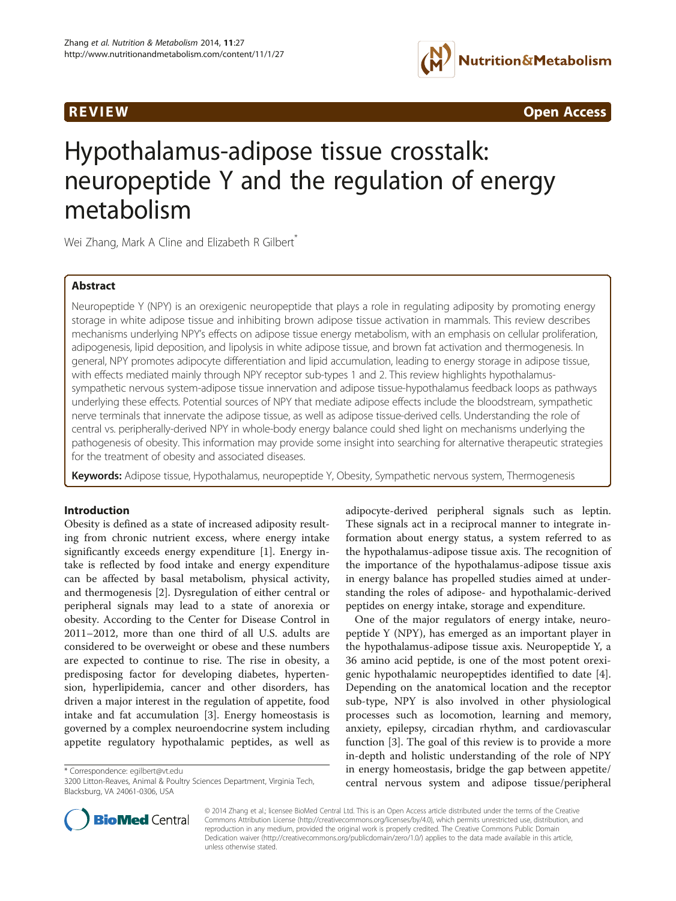

**REVIEW CONSTRUCTION CONSTRUCTION CONSTRUCTS** 

# Hypothalamus-adipose tissue crosstalk: neuropeptide Y and the regulation of energy metabolism

Wei Zhang, Mark A Cline and Elizabeth R Gilbert<sup>\*</sup>

# Abstract

Neuropeptide Y (NPY) is an orexigenic neuropeptide that plays a role in regulating adiposity by promoting energy storage in white adipose tissue and inhibiting brown adipose tissue activation in mammals. This review describes mechanisms underlying NPY's effects on adipose tissue energy metabolism, with an emphasis on cellular proliferation, adipogenesis, lipid deposition, and lipolysis in white adipose tissue, and brown fat activation and thermogenesis. In general, NPY promotes adipocyte differentiation and lipid accumulation, leading to energy storage in adipose tissue, with effects mediated mainly through NPY receptor sub-types 1 and 2. This review highlights hypothalamussympathetic nervous system-adipose tissue innervation and adipose tissue-hypothalamus feedback loops as pathways underlying these effects. Potential sources of NPY that mediate adipose effects include the bloodstream, sympathetic nerve terminals that innervate the adipose tissue, as well as adipose tissue-derived cells. Understanding the role of central vs. peripherally-derived NPY in whole-body energy balance could shed light on mechanisms underlying the pathogenesis of obesity. This information may provide some insight into searching for alternative therapeutic strategies for the treatment of obesity and associated diseases.

Keywords: Adipose tissue, Hypothalamus, neuropeptide Y, Obesity, Sympathetic nervous system, Thermogenesis

# Introduction

Obesity is defined as a state of increased adiposity resulting from chronic nutrient excess, where energy intake significantly exceeds energy expenditure [\[1](#page-9-0)]. Energy intake is reflected by food intake and energy expenditure can be affected by basal metabolism, physical activity, and thermogenesis [[2\]](#page-9-0). Dysregulation of either central or peripheral signals may lead to a state of anorexia or obesity. According to the Center for Disease Control in 2011–2012, more than one third of all U.S. adults are considered to be overweight or obese and these numbers are expected to continue to rise. The rise in obesity, a predisposing factor for developing diabetes, hypertension, hyperlipidemia, cancer and other disorders, has driven a major interest in the regulation of appetite, food intake and fat accumulation [[3\]](#page-9-0). Energy homeostasis is governed by a complex neuroendocrine system including appetite regulatory hypothalamic peptides, as well as

\* Correspondence: [egilbert@vt.edu](mailto:egilbert@vt.edu)

adipocyte-derived peripheral signals such as leptin. These signals act in a reciprocal manner to integrate information about energy status, a system referred to as the hypothalamus-adipose tissue axis. The recognition of the importance of the hypothalamus-adipose tissue axis in energy balance has propelled studies aimed at understanding the roles of adipose- and hypothalamic-derived peptides on energy intake, storage and expenditure.

One of the major regulators of energy intake, neuropeptide Y (NPY), has emerged as an important player in the hypothalamus-adipose tissue axis. Neuropeptide Y, a 36 amino acid peptide, is one of the most potent orexigenic hypothalamic neuropeptides identified to date [\[4](#page-9-0)]. Depending on the anatomical location and the receptor sub-type, NPY is also involved in other physiological processes such as locomotion, learning and memory, anxiety, epilepsy, circadian rhythm, and cardiovascular function [\[3](#page-9-0)]. The goal of this review is to provide a more in-depth and holistic understanding of the role of NPY in energy homeostasis, bridge the gap between appetite/ central nervous system and adipose tissue/peripheral



© 2014 Zhang et al.; licensee BioMed Central Ltd. This is an Open Access article distributed under the terms of the Creative Commons Attribution License [\(http://creativecommons.org/licenses/by/4.0\)](http://creativecommons.org/licenses/by/4.0), which permits unrestricted use, distribution, and reproduction in any medium, provided the original work is properly credited. The Creative Commons Public Domain Dedication waiver [\(http://creativecommons.org/publicdomain/zero/1.0/](http://creativecommons.org/publicdomain/zero/1.0/)) applies to the data made available in this article, unless otherwise stated.

<sup>3200</sup> Litton-Reaves, Animal & Poultry Sciences Department, Virginia Tech, Blacksburg, VA 24061-0306, USA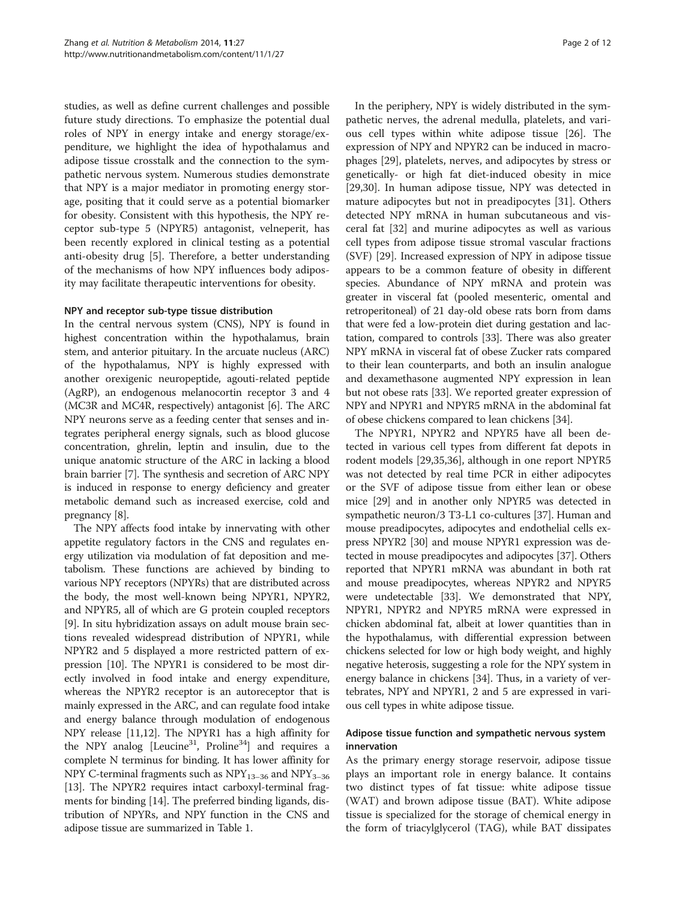studies, as well as define current challenges and possible future study directions. To emphasize the potential dual roles of NPY in energy intake and energy storage/expenditure, we highlight the idea of hypothalamus and adipose tissue crosstalk and the connection to the sympathetic nervous system. Numerous studies demonstrate that NPY is a major mediator in promoting energy storage, positing that it could serve as a potential biomarker for obesity. Consistent with this hypothesis, the NPY receptor sub-type 5 (NPYR5) antagonist, velneperit, has been recently explored in clinical testing as a potential anti-obesity drug [[5](#page-9-0)]. Therefore, a better understanding of the mechanisms of how NPY influences body adiposity may facilitate therapeutic interventions for obesity.

# NPY and receptor sub-type tissue distribution

In the central nervous system (CNS), NPY is found in highest concentration within the hypothalamus, brain stem, and anterior pituitary. In the arcuate nucleus (ARC) of the hypothalamus, NPY is highly expressed with another orexigenic neuropeptide, agouti-related peptide (AgRP), an endogenous melanocortin receptor 3 and 4 (MC3R and MC4R, respectively) antagonist [\[6\]](#page-10-0). The ARC NPY neurons serve as a feeding center that senses and integrates peripheral energy signals, such as blood glucose concentration, ghrelin, leptin and insulin, due to the unique anatomic structure of the ARC in lacking a blood brain barrier [[7\]](#page-10-0). The synthesis and secretion of ARC NPY is induced in response to energy deficiency and greater metabolic demand such as increased exercise, cold and pregnancy [[8](#page-10-0)].

The NPY affects food intake by innervating with other appetite regulatory factors in the CNS and regulates energy utilization via modulation of fat deposition and metabolism. These functions are achieved by binding to various NPY receptors (NPYRs) that are distributed across the body, the most well-known being NPYR1, NPYR2, and NPYR5, all of which are G protein coupled receptors [[9\]](#page-10-0). In situ hybridization assays on adult mouse brain sections revealed widespread distribution of NPYR1, while NPYR2 and 5 displayed a more restricted pattern of expression [\[10\]](#page-10-0). The NPYR1 is considered to be most directly involved in food intake and energy expenditure, whereas the NPYR2 receptor is an autoreceptor that is mainly expressed in the ARC, and can regulate food intake and energy balance through modulation of endogenous NPY release [\[11,12\]](#page-10-0). The NPYR1 has a high affinity for the NPY analog [Leucine<sup>31</sup>, Proline<sup>34</sup>] and requires a complete N terminus for binding. It has lower affinity for NPY C-terminal fragments such as  $NPY_{13-36}$  and  $NPY_{3-36}$ [[13](#page-10-0)]. The NPYR2 requires intact carboxyl-terminal fragments for binding [\[14\]](#page-10-0). The preferred binding ligands, distribution of NPYRs, and NPY function in the CNS and adipose tissue are summarized in Table [1.](#page-2-0)

In the periphery, NPY is widely distributed in the sympathetic nerves, the adrenal medulla, platelets, and various cell types within white adipose tissue [\[26](#page-10-0)]. The expression of NPY and NPYR2 can be induced in macrophages [[29\]](#page-10-0), platelets, nerves, and adipocytes by stress or genetically- or high fat diet-induced obesity in mice [[29,30\]](#page-10-0). In human adipose tissue, NPY was detected in mature adipocytes but not in preadipocytes [[31\]](#page-10-0). Others detected NPY mRNA in human subcutaneous and visceral fat [\[32](#page-10-0)] and murine adipocytes as well as various cell types from adipose tissue stromal vascular fractions (SVF) [\[29](#page-10-0)]. Increased expression of NPY in adipose tissue appears to be a common feature of obesity in different species. Abundance of NPY mRNA and protein was greater in visceral fat (pooled mesenteric, omental and retroperitoneal) of 21 day-old obese rats born from dams that were fed a low-protein diet during gestation and lactation, compared to controls [[33](#page-10-0)]. There was also greater NPY mRNA in visceral fat of obese Zucker rats compared to their lean counterparts, and both an insulin analogue and dexamethasone augmented NPY expression in lean but not obese rats [\[33\]](#page-10-0). We reported greater expression of NPY and NPYR1 and NPYR5 mRNA in the abdominal fat of obese chickens compared to lean chickens [[34\]](#page-10-0).

The NPYR1, NPYR2 and NPYR5 have all been detected in various cell types from different fat depots in rodent models [\[29,35,36\]](#page-10-0), although in one report NPYR5 was not detected by real time PCR in either adipocytes or the SVF of adipose tissue from either lean or obese mice [[29](#page-10-0)] and in another only NPYR5 was detected in sympathetic neuron/3 T3-L1 co-cultures [\[37\]](#page-10-0). Human and mouse preadipocytes, adipocytes and endothelial cells express NPYR2 [[30](#page-10-0)] and mouse NPYR1 expression was detected in mouse preadipocytes and adipocytes [[37](#page-10-0)]. Others reported that NPYR1 mRNA was abundant in both rat and mouse preadipocytes, whereas NPYR2 and NPYR5 were undetectable [\[33](#page-10-0)]. We demonstrated that NPY, NPYR1, NPYR2 and NPYR5 mRNA were expressed in chicken abdominal fat, albeit at lower quantities than in the hypothalamus, with differential expression between chickens selected for low or high body weight, and highly negative heterosis, suggesting a role for the NPY system in energy balance in chickens [\[34](#page-10-0)]. Thus, in a variety of vertebrates, NPY and NPYR1, 2 and 5 are expressed in various cell types in white adipose tissue.

# Adipose tissue function and sympathetic nervous system innervation

As the primary energy storage reservoir, adipose tissue plays an important role in energy balance. It contains two distinct types of fat tissue: white adipose tissue (WAT) and brown adipose tissue (BAT). White adipose tissue is specialized for the storage of chemical energy in the form of triacylglycerol (TAG), while BAT dissipates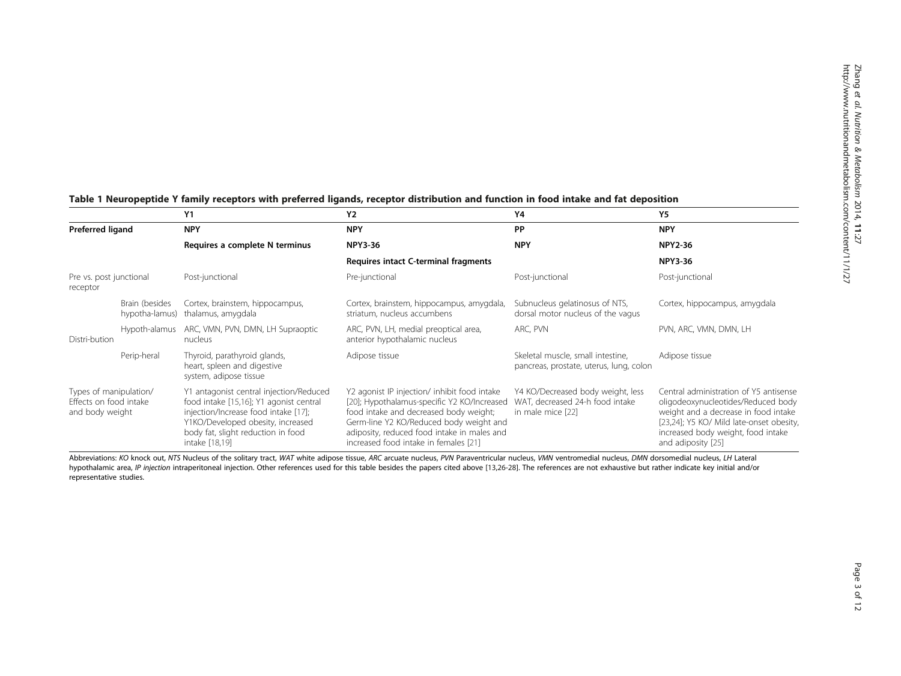|                                                                     |                                  | <b>Y1</b>                                                                                                                                                                                                               | <b>Y2</b>                                                                                                                                                                                                                                                                | Υ4                                                                                        | <b>Y5</b>                                                                                                                                                                                                                    |
|---------------------------------------------------------------------|----------------------------------|-------------------------------------------------------------------------------------------------------------------------------------------------------------------------------------------------------------------------|--------------------------------------------------------------------------------------------------------------------------------------------------------------------------------------------------------------------------------------------------------------------------|-------------------------------------------------------------------------------------------|------------------------------------------------------------------------------------------------------------------------------------------------------------------------------------------------------------------------------|
| Preferred ligand                                                    |                                  | <b>NPY</b>                                                                                                                                                                                                              | <b>NPY</b>                                                                                                                                                                                                                                                               | PP                                                                                        | <b>NPY</b>                                                                                                                                                                                                                   |
|                                                                     |                                  | Requires a complete N terminus                                                                                                                                                                                          | <b>NPY3-36</b>                                                                                                                                                                                                                                                           | <b>NPY</b>                                                                                | <b>NPY2-36</b>                                                                                                                                                                                                               |
|                                                                     |                                  |                                                                                                                                                                                                                         | Requires intact C-terminal fragments                                                                                                                                                                                                                                     |                                                                                           | <b>NPY3-36</b>                                                                                                                                                                                                               |
| Pre vs. post junctional<br>receptor                                 |                                  | Post-junctional                                                                                                                                                                                                         | Pre-junctional                                                                                                                                                                                                                                                           | Post-junctional                                                                           | Post-junctional                                                                                                                                                                                                              |
|                                                                     | Brain (besides<br>hypotha-lamus) | Cortex, brainstem, hippocampus,<br>thalamus, amygdala                                                                                                                                                                   | Cortex, brainstem, hippocampus, amygdala,<br>striatum, nucleus accumbens                                                                                                                                                                                                 | Subnucleus gelatinosus of NTS,<br>dorsal motor nucleus of the vagus                       | Cortex, hippocampus, amygdala                                                                                                                                                                                                |
| Distri-bution                                                       | Hypoth-alamus                    | ARC, VMN, PVN, DMN, LH Supraoptic<br>nucleus                                                                                                                                                                            | ARC, PVN, LH, medial preoptical area,<br>anterior hypothalamic nucleus                                                                                                                                                                                                   | ARC, PVN                                                                                  | PVN, ARC, VMN, DMN, LH                                                                                                                                                                                                       |
|                                                                     | Perip-heral                      | Thyroid, parathyroid glands,<br>heart, spleen and digestive<br>system, adipose tissue                                                                                                                                   | Adipose tissue                                                                                                                                                                                                                                                           | Skeletal muscle, small intestine,<br>pancreas, prostate, uterus, lung, colon              | Adipose tissue                                                                                                                                                                                                               |
| Types of manipulation/<br>Effects on food intake<br>and body weight |                                  | Y1 antagonist central injection/Reduced<br>food intake [15,16]; Y1 agonist central<br>injection/Increase food intake [17];<br>Y1KO/Developed obesity, increased<br>body fat, slight reduction in food<br>intake [18,19] | Y2 agonist IP injection/ inhibit food intake<br>[20]; Hypothalamus-specific Y2 KO/Increased<br>food intake and decreased body weight;<br>Germ-line Y2 KO/Reduced body weight and<br>adiposity, reduced food intake in males and<br>increased food intake in females [21] | Y4 KO/Decreased body weight, less<br>WAT, decreased 24-h food intake<br>in male mice [22] | Central administration of Y5 antisense<br>oligodeoxynucleotides/Reduced body<br>weight and a decrease in food intake<br>[23,24]; Y5 KO/ Mild late-onset obesity,<br>increased body weight, food intake<br>and adiposity [25] |

# <span id="page-2-0"></span>Table 1 Neuropeptide Y family receptors with preferred ligands, receptor distribution and function in food intake and fat deposition

Abbreviations: KO knock out, NTS Nucleus of the solitary tract, WAT white adipose tissue, ARC arcuate nucleus, PVN Paraventricular nucleus, VMN ventromedial nucleus, DMN dorsomedial nucleus, LH Lateral hypothalamic area, IP injection intraperitoneal injection. Other references used for this table besides the papers cited above [[13,26](#page-10-0)-[28\]](#page-10-0). The references are not exhaustive but rather indicate key initial and/or representative studies.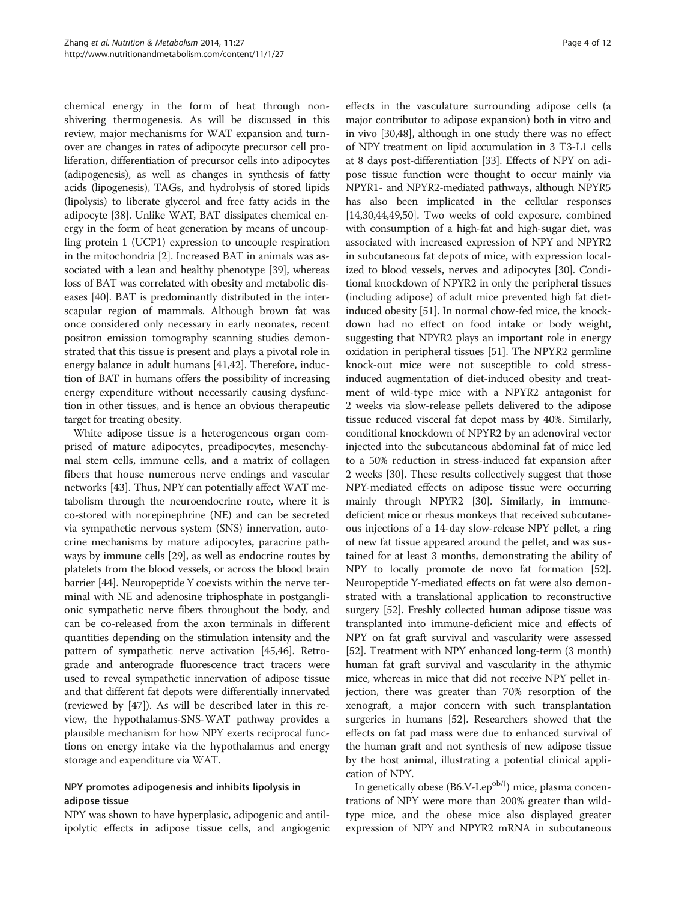chemical energy in the form of heat through nonshivering thermogenesis. As will be discussed in this review, major mechanisms for WAT expansion and turnover are changes in rates of adipocyte precursor cell proliferation, differentiation of precursor cells into adipocytes (adipogenesis), as well as changes in synthesis of fatty acids (lipogenesis), TAGs, and hydrolysis of stored lipids (lipolysis) to liberate glycerol and free fatty acids in the adipocyte [\[38\]](#page-10-0). Unlike WAT, BAT dissipates chemical energy in the form of heat generation by means of uncoupling protein 1 (UCP1) expression to uncouple respiration in the mitochondria [\[2](#page-9-0)]. Increased BAT in animals was associated with a lean and healthy phenotype [\[39\]](#page-10-0), whereas loss of BAT was correlated with obesity and metabolic diseases [[40](#page-10-0)]. BAT is predominantly distributed in the interscapular region of mammals. Although brown fat was once considered only necessary in early neonates, recent positron emission tomography scanning studies demonstrated that this tissue is present and plays a pivotal role in energy balance in adult humans [[41,42](#page-10-0)]. Therefore, induction of BAT in humans offers the possibility of increasing energy expenditure without necessarily causing dysfunction in other tissues, and is hence an obvious therapeutic target for treating obesity.

White adipose tissue is a heterogeneous organ comprised of mature adipocytes, preadipocytes, mesenchymal stem cells, immune cells, and a matrix of collagen fibers that house numerous nerve endings and vascular networks [\[43\]](#page-10-0). Thus, NPY can potentially affect WAT metabolism through the neuroendocrine route, where it is co-stored with norepinephrine (NE) and can be secreted via sympathetic nervous system (SNS) innervation, autocrine mechanisms by mature adipocytes, paracrine pathways by immune cells [\[29\]](#page-10-0), as well as endocrine routes by platelets from the blood vessels, or across the blood brain barrier [[44](#page-10-0)]. Neuropeptide Y coexists within the nerve terminal with NE and adenosine triphosphate in postganglionic sympathetic nerve fibers throughout the body, and can be co-released from the axon terminals in different quantities depending on the stimulation intensity and the pattern of sympathetic nerve activation [\[45,46](#page-10-0)]. Retrograde and anterograde fluorescence tract tracers were used to reveal sympathetic innervation of adipose tissue and that different fat depots were differentially innervated (reviewed by [[47\]](#page-10-0)). As will be described later in this review, the hypothalamus-SNS-WAT pathway provides a plausible mechanism for how NPY exerts reciprocal functions on energy intake via the hypothalamus and energy storage and expenditure via WAT.

# NPY promotes adipogenesis and inhibits lipolysis in adipose tissue

NPY was shown to have hyperplasic, adipogenic and antilipolytic effects in adipose tissue cells, and angiogenic

effects in the vasculature surrounding adipose cells (a major contributor to adipose expansion) both in vitro and in vivo [[30,48\]](#page-10-0), although in one study there was no effect of NPY treatment on lipid accumulation in 3 T3-L1 cells at 8 days post-differentiation [[33](#page-10-0)]. Effects of NPY on adipose tissue function were thought to occur mainly via NPYR1- and NPYR2-mediated pathways, although NPYR5 has also been implicated in the cellular responses [[14](#page-10-0),[30,44,49,50](#page-10-0)]. Two weeks of cold exposure, combined with consumption of a high-fat and high-sugar diet, was associated with increased expression of NPY and NPYR2 in subcutaneous fat depots of mice, with expression localized to blood vessels, nerves and adipocytes [\[30\]](#page-10-0). Conditional knockdown of NPYR2 in only the peripheral tissues (including adipose) of adult mice prevented high fat dietinduced obesity [[51](#page-11-0)]. In normal chow-fed mice, the knockdown had no effect on food intake or body weight, suggesting that NPYR2 plays an important role in energy oxidation in peripheral tissues [\[51\]](#page-11-0). The NPYR2 germline knock-out mice were not susceptible to cold stressinduced augmentation of diet-induced obesity and treatment of wild-type mice with a NPYR2 antagonist for 2 weeks via slow-release pellets delivered to the adipose tissue reduced visceral fat depot mass by 40%. Similarly, conditional knockdown of NPYR2 by an adenoviral vector injected into the subcutaneous abdominal fat of mice led to a 50% reduction in stress-induced fat expansion after 2 weeks [\[30](#page-10-0)]. These results collectively suggest that those NPY-mediated effects on adipose tissue were occurring mainly through NPYR2 [\[30\]](#page-10-0). Similarly, in immunedeficient mice or rhesus monkeys that received subcutaneous injections of a 14-day slow-release NPY pellet, a ring of new fat tissue appeared around the pellet, and was sustained for at least 3 months, demonstrating the ability of NPY to locally promote de novo fat formation [[52](#page-11-0)]. Neuropeptide Y-mediated effects on fat were also demonstrated with a translational application to reconstructive surgery [\[52\]](#page-11-0). Freshly collected human adipose tissue was transplanted into immune-deficient mice and effects of NPY on fat graft survival and vascularity were assessed [[52](#page-11-0)]. Treatment with NPY enhanced long-term (3 month) human fat graft survival and vascularity in the athymic mice, whereas in mice that did not receive NPY pellet injection, there was greater than 70% resorption of the xenograft, a major concern with such transplantation surgeries in humans [\[52\]](#page-11-0). Researchers showed that the effects on fat pad mass were due to enhanced survival of the human graft and not synthesis of new adipose tissue by the host animal, illustrating a potential clinical application of NPY.

In genetically obese (B6.V-Lep<sup>ob/J</sup>) mice, plasma concentrations of NPY were more than 200% greater than wildtype mice, and the obese mice also displayed greater expression of NPY and NPYR2 mRNA in subcutaneous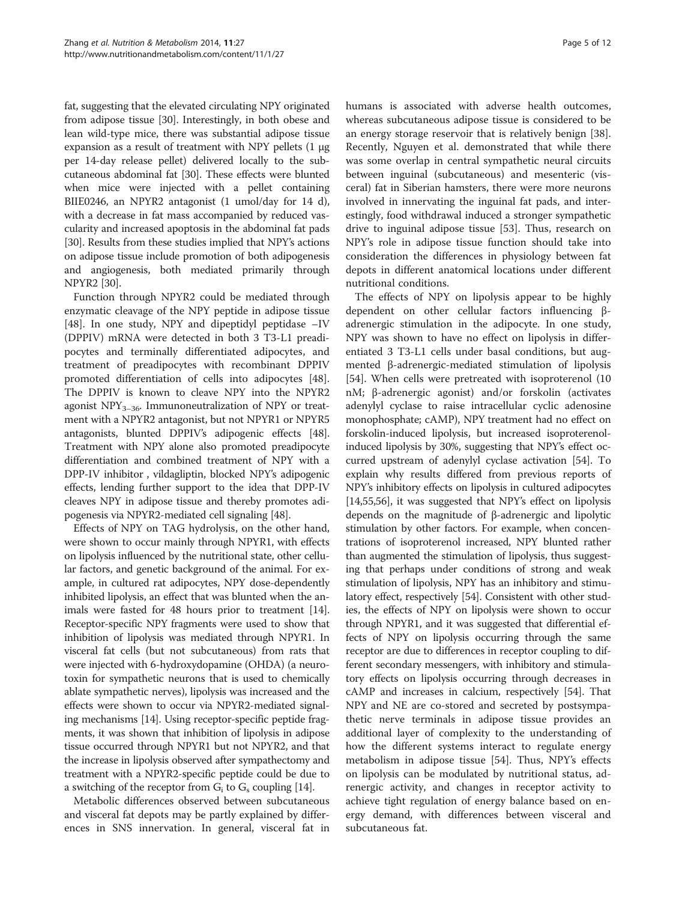fat, suggesting that the elevated circulating NPY originated from adipose tissue [[30](#page-10-0)]. Interestingly, in both obese and lean wild-type mice, there was substantial adipose tissue expansion as a result of treatment with NPY pellets (1 μg per 14-day release pellet) delivered locally to the subcutaneous abdominal fat [\[30\]](#page-10-0). These effects were blunted when mice were injected with a pellet containing BIIE0246, an NPYR2 antagonist (1 umol/day for 14 d), with a decrease in fat mass accompanied by reduced vascularity and increased apoptosis in the abdominal fat pads [[30](#page-10-0)]. Results from these studies implied that NPY's actions on adipose tissue include promotion of both adipogenesis and angiogenesis, both mediated primarily through NPYR2 [\[30\]](#page-10-0).

Function through NPYR2 could be mediated through enzymatic cleavage of the NPY peptide in adipose tissue [[48\]](#page-10-0). In one study, NPY and dipeptidyl peptidase –IV (DPPIV) mRNA were detected in both 3 T3-L1 preadipocytes and terminally differentiated adipocytes, and treatment of preadipocytes with recombinant DPPIV promoted differentiation of cells into adipocytes [\[48](#page-10-0)]. The DPPIV is known to cleave NPY into the NPYR2 agonist  $NPY_{3-36}$ . Immunoneutralization of NPY or treatment with a NPYR2 antagonist, but not NPYR1 or NPYR5 antagonists, blunted DPPIV's adipogenic effects [[48](#page-10-0)]. Treatment with NPY alone also promoted preadipocyte differentiation and combined treatment of NPY with a DPP-IV inhibitor , vildagliptin, blocked NPY's adipogenic effects, lending further support to the idea that DPP-IV cleaves NPY in adipose tissue and thereby promotes adipogenesis via NPYR2-mediated cell signaling [[48](#page-10-0)].

Effects of NPY on TAG hydrolysis, on the other hand, were shown to occur mainly through NPYR1, with effects on lipolysis influenced by the nutritional state, other cellular factors, and genetic background of the animal. For example, in cultured rat adipocytes, NPY dose-dependently inhibited lipolysis, an effect that was blunted when the animals were fasted for 48 hours prior to treatment [[14](#page-10-0)]. Receptor-specific NPY fragments were used to show that inhibition of lipolysis was mediated through NPYR1. In visceral fat cells (but not subcutaneous) from rats that were injected with 6-hydroxydopamine (OHDA) (a neurotoxin for sympathetic neurons that is used to chemically ablate sympathetic nerves), lipolysis was increased and the effects were shown to occur via NPYR2-mediated signaling mechanisms [\[14\]](#page-10-0). Using receptor-specific peptide fragments, it was shown that inhibition of lipolysis in adipose tissue occurred through NPYR1 but not NPYR2, and that the increase in lipolysis observed after sympathectomy and treatment with a NPYR2-specific peptide could be due to a switching of the receptor from  $G_i$  to  $G_s$  coupling [[14](#page-10-0)].

Metabolic differences observed between subcutaneous and visceral fat depots may be partly explained by differences in SNS innervation. In general, visceral fat in humans is associated with adverse health outcomes, whereas subcutaneous adipose tissue is considered to be an energy storage reservoir that is relatively benign [\[38](#page-10-0)]. Recently, Nguyen et al. demonstrated that while there was some overlap in central sympathetic neural circuits between inguinal (subcutaneous) and mesenteric (visceral) fat in Siberian hamsters, there were more neurons involved in innervating the inguinal fat pads, and interestingly, food withdrawal induced a stronger sympathetic drive to inguinal adipose tissue [\[53](#page-11-0)]. Thus, research on NPY's role in adipose tissue function should take into consideration the differences in physiology between fat depots in different anatomical locations under different nutritional conditions.

The effects of NPY on lipolysis appear to be highly dependent on other cellular factors influencing βadrenergic stimulation in the adipocyte. In one study, NPY was shown to have no effect on lipolysis in differentiated 3 T3-L1 cells under basal conditions, but augmented β-adrenergic-mediated stimulation of lipolysis [[54\]](#page-11-0). When cells were pretreated with isoproterenol (10 nM; β-adrenergic agonist) and/or forskolin (activates adenylyl cyclase to raise intracellular cyclic adenosine monophosphate; cAMP), NPY treatment had no effect on forskolin-induced lipolysis, but increased isoproterenolinduced lipolysis by 30%, suggesting that NPY's effect occurred upstream of adenylyl cyclase activation [\[54](#page-11-0)]. To explain why results differed from previous reports of NPY's inhibitory effects on lipolysis in cultured adipocytes [[14](#page-10-0),[55,56\]](#page-11-0), it was suggested that NPY's effect on lipolysis depends on the magnitude of β-adrenergic and lipolytic stimulation by other factors. For example, when concentrations of isoproterenol increased, NPY blunted rather than augmented the stimulation of lipolysis, thus suggesting that perhaps under conditions of strong and weak stimulation of lipolysis, NPY has an inhibitory and stimulatory effect, respectively [[54](#page-11-0)]. Consistent with other studies, the effects of NPY on lipolysis were shown to occur through NPYR1, and it was suggested that differential effects of NPY on lipolysis occurring through the same receptor are due to differences in receptor coupling to different secondary messengers, with inhibitory and stimulatory effects on lipolysis occurring through decreases in cAMP and increases in calcium, respectively [\[54\]](#page-11-0). That NPY and NE are co-stored and secreted by postsympathetic nerve terminals in adipose tissue provides an additional layer of complexity to the understanding of how the different systems interact to regulate energy metabolism in adipose tissue [[54\]](#page-11-0). Thus, NPY's effects on lipolysis can be modulated by nutritional status, adrenergic activity, and changes in receptor activity to achieve tight regulation of energy balance based on energy demand, with differences between visceral and subcutaneous fat.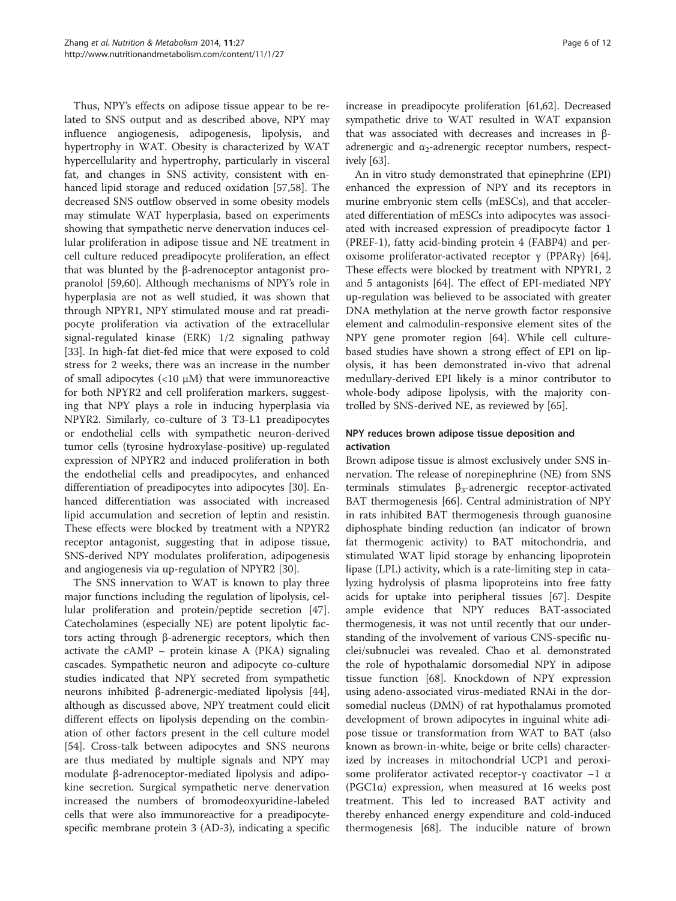Thus, NPY's effects on adipose tissue appear to be related to SNS output and as described above, NPY may influence angiogenesis, adipogenesis, lipolysis, and hypertrophy in WAT. Obesity is characterized by WAT hypercellularity and hypertrophy, particularly in visceral fat, and changes in SNS activity, consistent with enhanced lipid storage and reduced oxidation [[57,58](#page-11-0)]. The decreased SNS outflow observed in some obesity models may stimulate WAT hyperplasia, based on experiments showing that sympathetic nerve denervation induces cellular proliferation in adipose tissue and NE treatment in cell culture reduced preadipocyte proliferation, an effect that was blunted by the β-adrenoceptor antagonist propranolol [\[59,60](#page-11-0)]. Although mechanisms of NPY's role in hyperplasia are not as well studied, it was shown that through NPYR1, NPY stimulated mouse and rat preadipocyte proliferation via activation of the extracellular signal-regulated kinase (ERK) 1/2 signaling pathway [[33\]](#page-10-0). In high-fat diet-fed mice that were exposed to cold stress for 2 weeks, there was an increase in the number of small adipocytes (<10 μM) that were immunoreactive for both NPYR2 and cell proliferation markers, suggesting that NPY plays a role in inducing hyperplasia via NPYR2. Similarly, co-culture of 3 T3-L1 preadipocytes or endothelial cells with sympathetic neuron-derived tumor cells (tyrosine hydroxylase-positive) up-regulated expression of NPYR2 and induced proliferation in both the endothelial cells and preadipocytes, and enhanced differentiation of preadipocytes into adipocytes [\[30](#page-10-0)]. Enhanced differentiation was associated with increased lipid accumulation and secretion of leptin and resistin. These effects were blocked by treatment with a NPYR2 receptor antagonist, suggesting that in adipose tissue, SNS-derived NPY modulates proliferation, adipogenesis and angiogenesis via up-regulation of NPYR2 [[30\]](#page-10-0).

The SNS innervation to WAT is known to play three major functions including the regulation of lipolysis, cellular proliferation and protein/peptide secretion [\[47](#page-10-0)]. Catecholamines (especially NE) are potent lipolytic factors acting through β-adrenergic receptors, which then activate the cAMP – protein kinase A (PKA) signaling cascades. Sympathetic neuron and adipocyte co-culture studies indicated that NPY secreted from sympathetic neurons inhibited β-adrenergic-mediated lipolysis [\[44](#page-10-0)], although as discussed above, NPY treatment could elicit different effects on lipolysis depending on the combination of other factors present in the cell culture model [[54\]](#page-11-0). Cross-talk between adipocytes and SNS neurons are thus mediated by multiple signals and NPY may modulate β-adrenoceptor-mediated lipolysis and adipokine secretion. Surgical sympathetic nerve denervation increased the numbers of bromodeoxyuridine-labeled cells that were also immunoreactive for a preadipocytespecific membrane protein 3 (AD-3), indicating a specific

increase in preadipocyte proliferation [\[61,62\]](#page-11-0). Decreased sympathetic drive to WAT resulted in WAT expansion that was associated with decreases and increases in βadrenergic and  $\alpha_2$ -adrenergic receptor numbers, respectively [\[63](#page-11-0)].

An in vitro study demonstrated that epinephrine (EPI) enhanced the expression of NPY and its receptors in murine embryonic stem cells (mESCs), and that accelerated differentiation of mESCs into adipocytes was associated with increased expression of preadipocyte factor 1 (PREF-1), fatty acid-binding protein 4 (FABP4) and per-oxisome proliferator-activated receptor γ (PPARγ) [\[64](#page-11-0)]. These effects were blocked by treatment with NPYR1, 2 and 5 antagonists [[64](#page-11-0)]. The effect of EPI-mediated NPY up-regulation was believed to be associated with greater DNA methylation at the nerve growth factor responsive element and calmodulin-responsive element sites of the NPY gene promoter region [[64\]](#page-11-0). While cell culturebased studies have shown a strong effect of EPI on lipolysis, it has been demonstrated in-vivo that adrenal medullary-derived EPI likely is a minor contributor to whole-body adipose lipolysis, with the majority controlled by SNS-derived NE, as reviewed by [\[65](#page-11-0)].

# NPY reduces brown adipose tissue deposition and activation

Brown adipose tissue is almost exclusively under SNS innervation. The release of norepinephrine (NE) from SNS terminals stimulates  $β_3$ -adrenergic receptor-activated BAT thermogenesis [\[66](#page-11-0)]. Central administration of NPY in rats inhibited BAT thermogenesis through guanosine diphosphate binding reduction (an indicator of brown fat thermogenic activity) to BAT mitochondria, and stimulated WAT lipid storage by enhancing lipoprotein lipase (LPL) activity, which is a rate-limiting step in catalyzing hydrolysis of plasma lipoproteins into free fatty acids for uptake into peripheral tissues [[67\]](#page-11-0). Despite ample evidence that NPY reduces BAT-associated thermogenesis, it was not until recently that our understanding of the involvement of various CNS-specific nuclei/subnuclei was revealed. Chao et al. demonstrated the role of hypothalamic dorsomedial NPY in adipose tissue function [\[68\]](#page-11-0). Knockdown of NPY expression using adeno-associated virus-mediated RNAi in the dorsomedial nucleus (DMN) of rat hypothalamus promoted development of brown adipocytes in inguinal white adipose tissue or transformation from WAT to BAT (also known as brown-in-white, beige or brite cells) characterized by increases in mitochondrial UCP1 and peroxisome proliferator activated receptor-γ coactivator −1 α (PGC1α) expression, when measured at 16 weeks post treatment. This led to increased BAT activity and thereby enhanced energy expenditure and cold-induced thermogenesis [[68\]](#page-11-0). The inducible nature of brown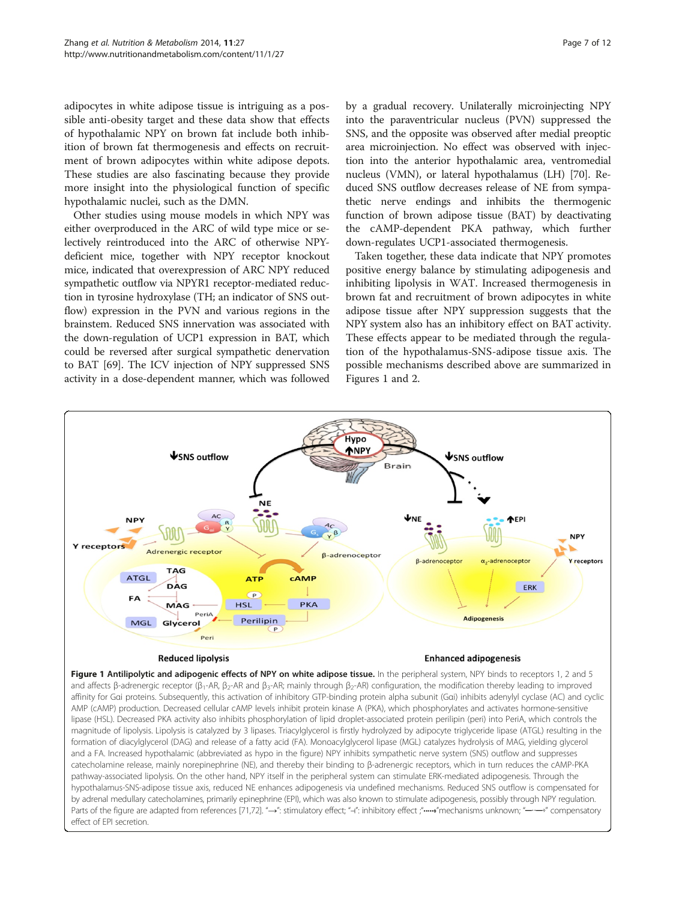adipocytes in white adipose tissue is intriguing as a possible anti-obesity target and these data show that effects of hypothalamic NPY on brown fat include both inhibition of brown fat thermogenesis and effects on recruitment of brown adipocytes within white adipose depots. These studies are also fascinating because they provide more insight into the physiological function of specific hypothalamic nuclei, such as the DMN.

Other studies using mouse models in which NPY was either overproduced in the ARC of wild type mice or selectively reintroduced into the ARC of otherwise NPYdeficient mice, together with NPY receptor knockout mice, indicated that overexpression of ARC NPY reduced sympathetic outflow via NPYR1 receptor-mediated reduction in tyrosine hydroxylase (TH; an indicator of SNS outflow) expression in the PVN and various regions in the brainstem. Reduced SNS innervation was associated with the down-regulation of UCP1 expression in BAT, which could be reversed after surgical sympathetic denervation to BAT [\[69\]](#page-11-0). The ICV injection of NPY suppressed SNS activity in a dose-dependent manner, which was followed by a gradual recovery. Unilaterally microinjecting NPY into the paraventricular nucleus (PVN) suppressed the SNS, and the opposite was observed after medial preoptic area microinjection. No effect was observed with injection into the anterior hypothalamic area, ventromedial nucleus (VMN), or lateral hypothalamus (LH) [\[70](#page-11-0)]. Reduced SNS outflow decreases release of NE from sympathetic nerve endings and inhibits the thermogenic function of brown adipose tissue (BAT) by deactivating the cAMP-dependent PKA pathway, which further down-regulates UCP1-associated thermogenesis.

Taken together, these data indicate that NPY promotes positive energy balance by stimulating adipogenesis and inhibiting lipolysis in WAT. Increased thermogenesis in brown fat and recruitment of brown adipocytes in white adipose tissue after NPY suppression suggests that the NPY system also has an inhibitory effect on BAT activity. These effects appear to be mediated through the regulation of the hypothalamus-SNS-adipose tissue axis. The possible mechanisms described above are summarized in Figures 1 and [2.](#page-7-0)



AMP (cAMP) production. Decreased cellular cAMP levels inhibit protein kinase A (PKA), which phosphorylates and activates hormone-sensitive lipase (HSL). Decreased PKA activity also inhibits phosphorylation of lipid droplet-associated protein perilipin (peri) into PeriA, which controls the magnitude of lipolysis. Lipolysis is catalyzed by 3 lipases. Triacylglycerol is firstly hydrolyzed by adipocyte triglyceride lipase (ATGL) resulting in the formation of diacylglycerol (DAG) and release of a fatty acid (FA). Monoacylglycerol lipase (MGL) catalyzes hydrolysis of MAG, yielding glycerol and a FA. Increased hypothalamic (abbreviated as hypo in the figure) NPY inhibits sympathetic nerve system (SNS) outflow and suppresses catecholamine release, mainly norepinephrine (NE), and thereby their binding to β-adrenergic receptors, which in turn reduces the cAMP-PKA pathway-associated lipolysis. On the other hand, NPY itself in the peripheral system can stimulate ERK-mediated adipogenesis. Through the hypothalamus-SNS-adipose tissue axis, reduced NE enhances adipogenesis via undefined mechanisms. Reduced SNS outflow is compensated for by adrenal medullary catecholamines, primarily epinephrine (EPI), which was also known to stimulate adipogenesis, possibly through NPY regulation. Parts of the figure are adapted from references [\[71,72\]](#page-11-0). "→": stimulatory effect; "-1": inhibitory effect; "••••" mechanisms unknown; "------" compensatory effect of EPI secretion.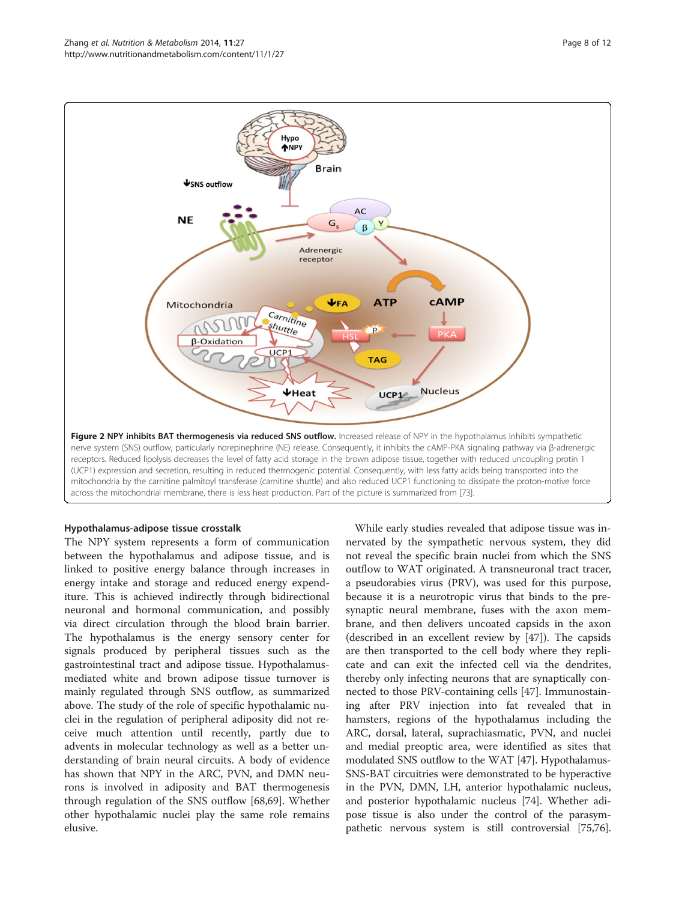<span id="page-7-0"></span>

# Hypothalamus-adipose tissue crosstalk

The NPY system represents a form of communication between the hypothalamus and adipose tissue, and is linked to positive energy balance through increases in energy intake and storage and reduced energy expenditure. This is achieved indirectly through bidirectional neuronal and hormonal communication, and possibly via direct circulation through the blood brain barrier. The hypothalamus is the energy sensory center for signals produced by peripheral tissues such as the gastrointestinal tract and adipose tissue. Hypothalamusmediated white and brown adipose tissue turnover is mainly regulated through SNS outflow, as summarized above. The study of the role of specific hypothalamic nuclei in the regulation of peripheral adiposity did not receive much attention until recently, partly due to advents in molecular technology as well as a better understanding of brain neural circuits. A body of evidence has shown that NPY in the ARC, PVN, and DMN neurons is involved in adiposity and BAT thermogenesis through regulation of the SNS outflow [[68,69\]](#page-11-0). Whether other hypothalamic nuclei play the same role remains elusive.

While early studies revealed that adipose tissue was innervated by the sympathetic nervous system, they did not reveal the specific brain nuclei from which the SNS outflow to WAT originated. A transneuronal tract tracer, a pseudorabies virus (PRV), was used for this purpose, because it is a neurotropic virus that binds to the presynaptic neural membrane, fuses with the axon membrane, and then delivers uncoated capsids in the axon (described in an excellent review by [[47\]](#page-10-0)). The capsids are then transported to the cell body where they replicate and can exit the infected cell via the dendrites, thereby only infecting neurons that are synaptically connected to those PRV-containing cells [\[47\]](#page-10-0). Immunostaining after PRV injection into fat revealed that in hamsters, regions of the hypothalamus including the ARC, dorsal, lateral, suprachiasmatic, PVN, and nuclei and medial preoptic area, were identified as sites that modulated SNS outflow to the WAT [[47\]](#page-10-0). Hypothalamus-SNS-BAT circuitries were demonstrated to be hyperactive in the PVN, DMN, LH, anterior hypothalamic nucleus, and posterior hypothalamic nucleus [[74](#page-11-0)]. Whether adipose tissue is also under the control of the parasympathetic nervous system is still controversial [\[75,76](#page-11-0)].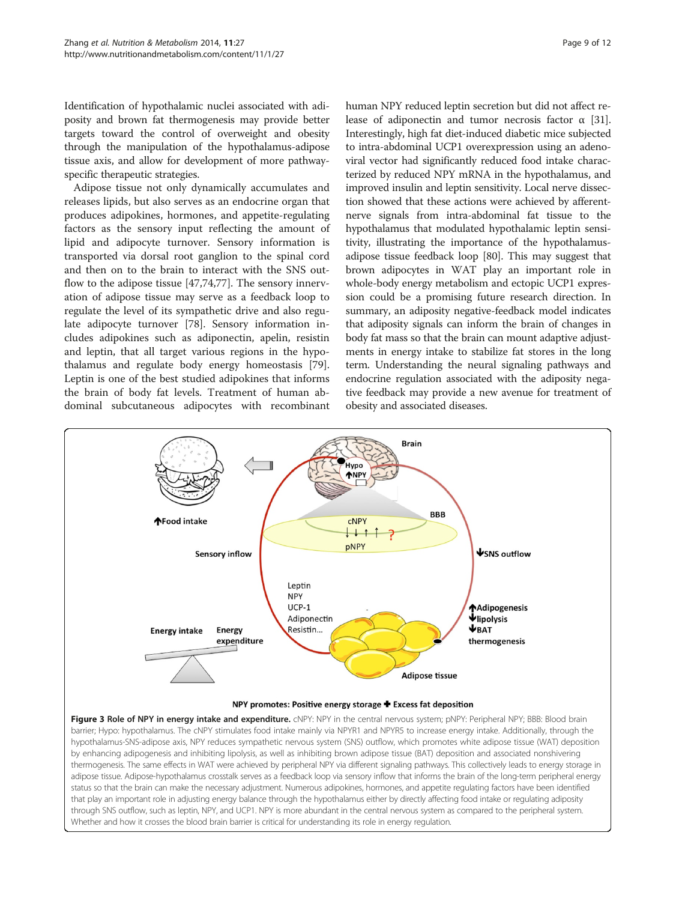<span id="page-8-0"></span>Identification of hypothalamic nuclei associated with adiposity and brown fat thermogenesis may provide better targets toward the control of overweight and obesity through the manipulation of the hypothalamus-adipose tissue axis, and allow for development of more pathwayspecific therapeutic strategies.

Adipose tissue not only dynamically accumulates and releases lipids, but also serves as an endocrine organ that produces adipokines, hormones, and appetite-regulating factors as the sensory input reflecting the amount of lipid and adipocyte turnover. Sensory information is transported via dorsal root ganglion to the spinal cord and then on to the brain to interact with the SNS outflow to the adipose tissue [\[47](#page-10-0)[,74,77](#page-11-0)]. The sensory innervation of adipose tissue may serve as a feedback loop to regulate the level of its sympathetic drive and also regulate adipocyte turnover [\[78\]](#page-11-0). Sensory information includes adipokines such as adiponectin, apelin, resistin and leptin, that all target various regions in the hypothalamus and regulate body energy homeostasis [\[79](#page-11-0)]. Leptin is one of the best studied adipokines that informs the brain of body fat levels. Treatment of human abdominal subcutaneous adipocytes with recombinant human NPY reduced leptin secretion but did not affect release of adiponectin and tumor necrosis factor  $\alpha$  [[31](#page-10-0)]. Interestingly, high fat diet-induced diabetic mice subjected to intra-abdominal UCP1 overexpression using an adenoviral vector had significantly reduced food intake characterized by reduced NPY mRNA in the hypothalamus, and improved insulin and leptin sensitivity. Local nerve dissection showed that these actions were achieved by afferentnerve signals from intra-abdominal fat tissue to the hypothalamus that modulated hypothalamic leptin sensitivity, illustrating the importance of the hypothalamusadipose tissue feedback loop [[80](#page-11-0)]. This may suggest that brown adipocytes in WAT play an important role in whole-body energy metabolism and ectopic UCP1 expression could be a promising future research direction. In summary, an adiposity negative-feedback model indicates that adiposity signals can inform the brain of changes in body fat mass so that the brain can mount adaptive adjustments in energy intake to stabilize fat stores in the long term. Understanding the neural signaling pathways and endocrine regulation associated with the adiposity negative feedback may provide a new avenue for treatment of obesity and associated diseases.



#### NPY promotes: Positive energy storage + Excess fat deposition

Figure 3 Role of NPY in energy intake and expenditure. cNPY: NPY in the central nervous system; pNPY: Peripheral NPY; BBB: Blood brain barrier; Hypo: hypothalamus. The cNPY stimulates food intake mainly via NPYR1 and NPYR5 to increase energy intake. Additionally, through the hypothalamus-SNS-adipose axis, NPY reduces sympathetic nervous system (SNS) outflow, which promotes white adipose tissue (WAT) deposition by enhancing adipogenesis and inhibiting lipolysis, as well as inhibiting brown adipose tissue (BAT) deposition and associated nonshivering thermogenesis. The same effects in WAT were achieved by peripheral NPY via different signaling pathways. This collectively leads to energy storage in adipose tissue. Adipose-hypothalamus crosstalk serves as a feedback loop via sensory inflow that informs the brain of the long-term peripheral energy status so that the brain can make the necessary adjustment. Numerous adipokines, hormones, and appetite regulating factors have been identified that play an important role in adjusting energy balance through the hypothalamus either by directly affecting food intake or regulating adiposity through SNS outflow, such as leptin, NPY, and UCP1. NPY is more abundant in the central nervous system as compared to the peripheral system. Whether and how it crosses the blood brain barrier is critical for understanding its role in energy regulation.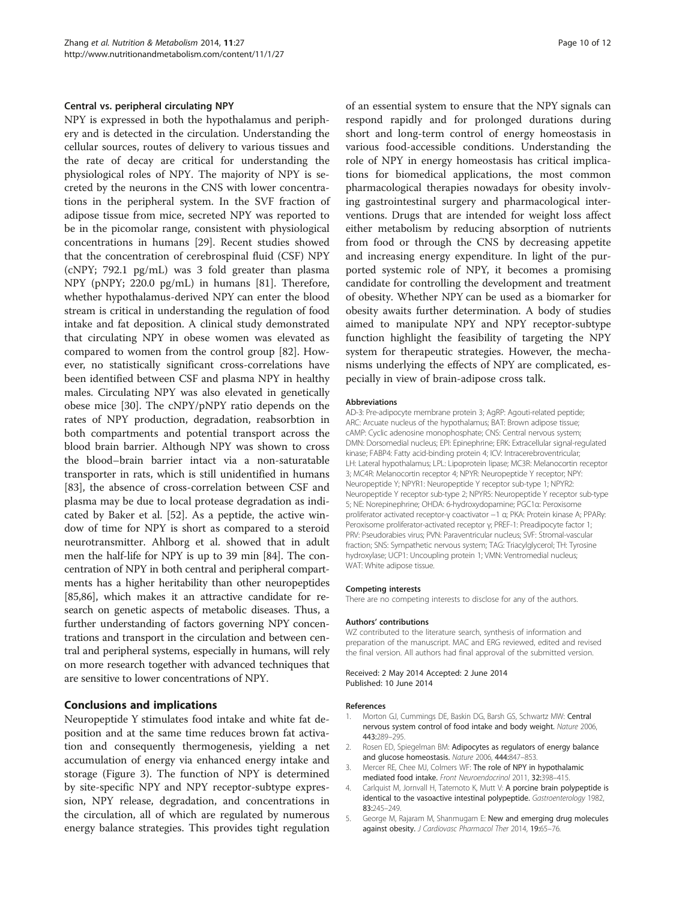### <span id="page-9-0"></span>Central vs. peripheral circulating NPY

NPY is expressed in both the hypothalamus and periphery and is detected in the circulation. Understanding the cellular sources, routes of delivery to various tissues and the rate of decay are critical for understanding the physiological roles of NPY. The majority of NPY is secreted by the neurons in the CNS with lower concentrations in the peripheral system. In the SVF fraction of adipose tissue from mice, secreted NPY was reported to be in the picomolar range, consistent with physiological concentrations in humans [[29](#page-10-0)]. Recent studies showed that the concentration of cerebrospinal fluid (CSF) NPY (cNPY; 792.1 pg/mL) was 3 fold greater than plasma NPY (pNPY; 220.0 pg/mL) in humans [\[81](#page-11-0)]. Therefore, whether hypothalamus-derived NPY can enter the blood stream is critical in understanding the regulation of food intake and fat deposition. A clinical study demonstrated that circulating NPY in obese women was elevated as compared to women from the control group [[82\]](#page-11-0). However, no statistically significant cross-correlations have been identified between CSF and plasma NPY in healthy males. Circulating NPY was also elevated in genetically obese mice [[30](#page-10-0)]. The cNPY/pNPY ratio depends on the rates of NPY production, degradation, reabsorbtion in both compartments and potential transport across the blood brain barrier. Although NPY was shown to cross the blood–brain barrier intact via a non-saturatable transporter in rats, which is still unidentified in humans [[83\]](#page-11-0), the absence of cross-correlation between CSF and plasma may be due to local protease degradation as indicated by Baker et al. [\[52\]](#page-11-0). As a peptide, the active window of time for NPY is short as compared to a steroid neurotransmitter. Ahlborg et al. showed that in adult men the half-life for NPY is up to 39 min [[84](#page-11-0)]. The concentration of NPY in both central and peripheral compartments has a higher heritability than other neuropeptides [[85,86](#page-11-0)], which makes it an attractive candidate for research on genetic aspects of metabolic diseases. Thus, a further understanding of factors governing NPY concentrations and transport in the circulation and between central and peripheral systems, especially in humans, will rely on more research together with advanced techniques that are sensitive to lower concentrations of NPY.

# Conclusions and implications

Neuropeptide Y stimulates food intake and white fat deposition and at the same time reduces brown fat activation and consequently thermogenesis, yielding a net accumulation of energy via enhanced energy intake and storage (Figure [3\)](#page-8-0). The function of NPY is determined by site-specific NPY and NPY receptor-subtype expression, NPY release, degradation, and concentrations in the circulation, all of which are regulated by numerous energy balance strategies. This provides tight regulation of an essential system to ensure that the NPY signals can respond rapidly and for prolonged durations during short and long-term control of energy homeostasis in various food-accessible conditions. Understanding the role of NPY in energy homeostasis has critical implications for biomedical applications, the most common pharmacological therapies nowadays for obesity involving gastrointestinal surgery and pharmacological interventions. Drugs that are intended for weight loss affect either metabolism by reducing absorption of nutrients from food or through the CNS by decreasing appetite and increasing energy expenditure. In light of the purported systemic role of NPY, it becomes a promising candidate for controlling the development and treatment of obesity. Whether NPY can be used as a biomarker for obesity awaits further determination. A body of studies aimed to manipulate NPY and NPY receptor-subtype function highlight the feasibility of targeting the NPY system for therapeutic strategies. However, the mechanisms underlying the effects of NPY are complicated, especially in view of brain-adipose cross talk.

#### Abbreviations

AD-3: Pre-adipocyte membrane protein 3; AgRP: Agouti-related peptide; ARC: Arcuate nucleus of the hypothalamus; BAT: Brown adipose tissue; cAMP: Cyclic adenosine monophosphate; CNS: Central nervous system; DMN: Dorsomedial nucleus; EPI: Epinephrine; ERK: Extracellular signal-regulated kinase; FABP4: Fatty acid-binding protein 4; ICV: Intracerebroventricular; LH: Lateral hypothalamus; LPL: Lipoprotein lipase; MC3R: Melanocortin receptor 3; MC4R: Melanocortin receptor 4; NPYR: Neuropeptide Y receptor; NPY: Neuropeptide Y; NPYR1: Neuropeptide Y receptor sub-type 1; NPYR2: Neuropeptide Y receptor sub-type 2; NPYR5: Neuropeptide Y receptor sub-type 5; NE: Norepinephrine; OHDA: 6-hydroxydopamine; PGC1α: Peroxisome proliferator activated receptor-γ coactivator −1 α; PKA: Protein kinase A; PPARγ: Peroxisome proliferator-activated receptor γ; PREF-1: Preadipocyte factor 1; PRV: Pseudorabies virus; PVN: Paraventricular nucleus; SVF: Stromal-vascular fraction; SNS: Sympathetic nervous system; TAG: Triacylglycerol; TH: Tyrosine hydroxylase; UCP1: Uncoupling protein 1; VMN: Ventromedial nucleus; WAT: White adipose tissue.

#### Competing interests

There are no competing interests to disclose for any of the authors.

#### Authors' contributions

WZ contributed to the literature search, synthesis of information and preparation of the manuscript. MAC and ERG reviewed, edited and revised the final version. All authors had final approval of the submitted version.

Received: 2 May 2014 Accepted: 2 June 2014 Published: 10 June 2014

#### References

- Morton GJ, Cummings DE, Baskin DG, Barsh GS, Schwartz MW: Central nervous system control of food intake and body weight. Nature 2006, 443:289–295.
- 2. Rosen ED, Spiegelman BM: Adipocytes as regulators of energy balance and glucose homeostasis. Nature 2006, 444:847–853.
- 3. Mercer RE, Chee MJ, Colmers WF: The role of NPY in hypothalamic mediated food intake. Front Neuroendocrinol 2011, 32:398–415.
- 4. Carlquist M, Jornvall H, Tatemoto K, Mutt V: A porcine brain polypeptide is identical to the vasoactive intestinal polypeptide. Gastroenterology 1982, 83:245–249.
- 5. George M, Rajaram M, Shanmugam E: New and emerging drug molecules against obesity. J Cardiovasc Pharmacol Ther 2014, 19:65-76.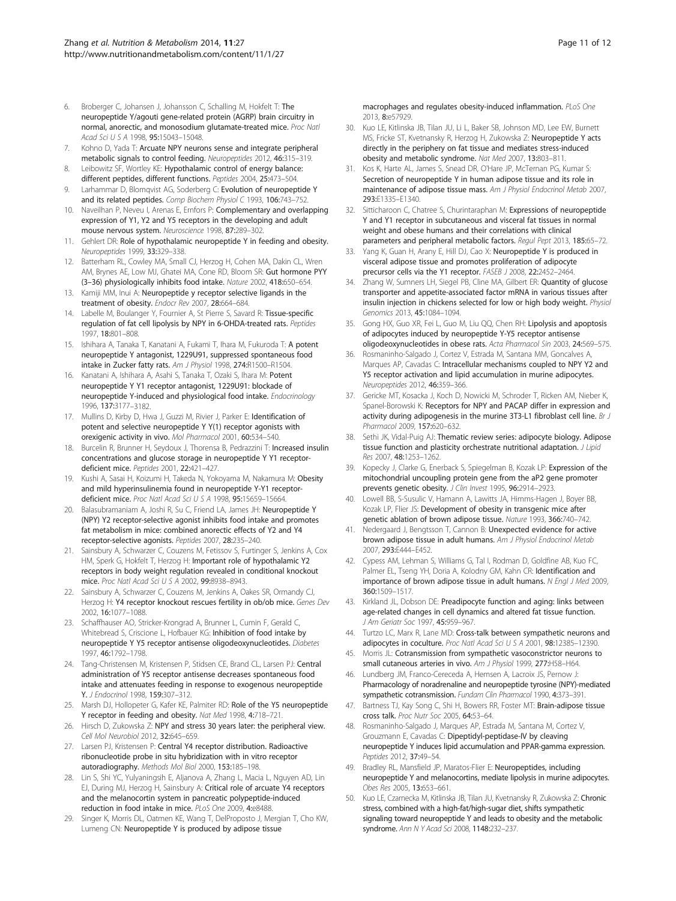- <span id="page-10-0"></span>6. Broberger C, Johansen J, Johansson C, Schalling M, Hokfelt T: The neuropeptide Y/agouti gene-related protein (AGRP) brain circuitry in normal, anorectic, and monosodium glutamate-treated mice. Proc Natl Acad Sci U S A 1998, 95:15043-15048.
- 7. Kohno D, Yada T: Arcuate NPY neurons sense and integrate peripheral metabolic signals to control feeding. Neuropeptides 2012, 46:315–319.
- 8. Leibowitz SF, Wortley KE: Hypothalamic control of energy balance: different peptides, different functions. Peptides 2004, 25:473–504.
- Larhammar D, Blomqvist AG, Soderberg C: Evolution of neuropeptide Y and its related peptides. Comp Biochem Physiol C 1993, 106:743-752.
- 10. Naveilhan P, Neveu I, Arenas E, Ernfors P: Complementary and overlapping expression of Y1, Y2 and Y5 receptors in the developing and adult mouse nervous system. Neuroscience 1998, 87:289–302.
- 11. Gehlert DR: Role of hypothalamic neuropeptide Y in feeding and obesity. Neuropeptides 1999, 33:329–338.
- 12. Batterham RL, Cowley MA, Small CJ, Herzog H, Cohen MA, Dakin CL, Wren AM, Brynes AE, Low MJ, Ghatei MA, Cone RD, Bloom SR: Gut hormone PYY (3–36) physiologically inhibits food intake. Nature 2002, 418:650–654.
- 13. Kamiji MM, Inui A: Neuropeptide y receptor selective ligands in the treatment of obesity. Endocr Rev 2007, 28:664–684.
- 14. Labelle M, Boulanger Y, Fournier A, St Pierre S, Savard R: Tissue-specific regulation of fat cell lipolysis by NPY in 6-OHDA-treated rats. Peptides 1997, 18:801–808.
- 15. Ishihara A, Tanaka T, Kanatani A, Fukami T, Ihara M, Fukuroda T: A potent neuropeptide Y antagonist, 1229U91, suppressed spontaneous food intake in Zucker fatty rats. Am J Physiol 1998, 274:R1500–R1504.
- 16. Kanatani A, Ishihara A, Asahi S, Tanaka T, Ozaki S, Ihara M: Potent neuropeptide Y Y1 receptor antagonist, 1229U91: blockade of neuropeptide Y-induced and physiological food intake. Endocrinology 1996, 137:3177–3182.
- 17. Mullins D, Kirby D, Hwa J, Guzzi M, Rivier J, Parker E: Identification of potent and selective neuropeptide Y Y(1) receptor agonists with orexigenic activity in vivo. Mol Pharmacol 2001, 60:534–540.
- 18. Burcelin R, Brunner H, Seydoux J, Thorensa B, Pedrazzini T: Increased insulin concentrations and glucose storage in neuropeptide Y Y1 receptordeficient mice. Peptides 2001, 22:421–427.
- 19. Kushi A, Sasai H, Koizumi H, Takeda N, Yokoyama M, Nakamura M: Obesity and mild hyperinsulinemia found in neuropeptide Y-Y1 receptordeficient mice. Proc Natl Acad Sci U S A 1998, 95:15659-15664.
- 20. Balasubramaniam A, Joshi R, Su C, Friend LA, James JH: Neuropeptide Y (NPY) Y2 receptor-selective agonist inhibits food intake and promotes fat metabolism in mice: combined anorectic effects of Y2 and Y4 receptor-selective agonists. Peptides 2007, 28:235–240.
- 21. Sainsbury A, Schwarzer C, Couzens M, Fetissov S, Furtinger S, Jenkins A, Cox HM, Sperk G, Hokfelt T, Herzog H: Important role of hypothalamic Y2 receptors in body weight regulation revealed in conditional knockout mice. Proc Natl Acad Sci U S A 2002, 99:8938–8943.
- 22. Sainsbury A, Schwarzer C, Couzens M, Jenkins A, Oakes SR, Ormandy CJ, Herzog H: Y4 receptor knockout rescues fertility in ob/ob mice. Genes Dev 2002, 16:1077–1088.
- 23. Schaffhauser AO, Stricker-Krongrad A, Brunner L, Cumin F, Gerald C, Whitebread S, Criscione L, Hofbauer KG: Inhibition of food intake by neuropeptide Y Y5 receptor antisense oligodeoxynucleotides. Diabetes 1997, 46:1792–1798.
- 24. Tang-Christensen M, Kristensen P, Stidsen CE, Brand CL, Larsen PJ: Central administration of Y5 receptor antisense decreases spontaneous food intake and attenuates feeding in response to exogenous neuropeptide Y. J Endocrinol 1998, 159:307–312.
- 25. Marsh DJ, Hollopeter G, Kafer KE, Palmiter RD: Role of the Y5 neuropeptide Y receptor in feeding and obesity. Nat Med 1998, 4:718–721.
- Hirsch D, Zukowska Z: NPY and stress 30 years later: the peripheral view. Cell Mol Neurobiol 2012, 32:645–659.
- 27. Larsen PJ, Kristensen P: Central Y4 receptor distribution. Radioactive ribonucleotide probe in situ hybridization with in vitro receptor autoradiography. Methods Mol Biol 2000, 153:185–198.
- 28. Lin S, Shi YC, Yulyaningsih E, Aljanova A, Zhang L, Macia L, Nguyen AD, Lin EJ, During MJ, Herzog H, Sainsbury A: Critical role of arcuate Y4 receptors and the melanocortin system in pancreatic polypeptide-induced reduction in food intake in mice. PLoS One 2009, 4:e8488.
- 29. Singer K, Morris DL, Oatmen KE, Wang T, DelProposto J, Mergian T, Cho KW, Lumeng CN: Neuropeptide Y is produced by adipose tissue

macrophages and regulates obesity-induced inflammation. PLoS One 2013, 8:e57929.

- 30. Kuo LE, Kitlinska JB, Tilan JU, Li L, Baker SB, Johnson MD, Lee EW, Burnett MS, Fricke ST, Kvetnansky R, Herzog H, Zukowska Z: Neuropeptide Y acts directly in the periphery on fat tissue and mediates stress-induced obesity and metabolic syndrome. Nat Med 2007, 13:803–811.
- 31. Kos K, Harte AL, James S, Snead DR, O'Hare JP, McTernan PG, Kumar S: Secretion of neuropeptide Y in human adipose tissue and its role in maintenance of adipose tissue mass. Am J Physiol Endocrinol Metab 2007, 293:E1335–E1340.
- 32. Sitticharoon C, Chatree S, Churintaraphan M: Expressions of neuropeptide Y and Y1 receptor in subcutaneous and visceral fat tissues in normal weight and obese humans and their correlations with clinical parameters and peripheral metabolic factors. Regul Pept 2013, 185:65–72.
- 33. Yang K, Guan H, Arany E, Hill DJ, Cao X: Neuropeptide Y is produced in visceral adipose tissue and promotes proliferation of adipocyte precursor cells via the Y1 receptor. FASEB J 2008, 22:2452-2464.
- 34. Zhang W, Sumners LH, Siegel PB, Cline MA, Gilbert ER: Quantity of glucose transporter and appetite-associated factor mRNA in various tissues after insulin injection in chickens selected for low or high body weight. Physiol Genomics 2013, 45:1084–1094.
- 35. Gong HX, Guo XR, Fei L, Guo M, Liu QQ, Chen RH: Lipolysis and apoptosis of adipocytes induced by neuropeptide Y-Y5 receptor antisense oligodeoxynucleotides in obese rats. Acta Pharmacol Sin 2003, 24:569–575.
- 36. Rosmaninho-Salgado J, Cortez V, Estrada M, Santana MM, Goncalves A, Marques AP, Cavadas C: Intracellular mechanisms coupled to NPY Y2 and Y5 receptor activation and lipid accumulation in murine adipocytes. Neuropeptides 2012, 46:359–366.
- 37. Gericke MT, Kosacka J, Koch D, Nowicki M, Schroder T, Ricken AM, Nieber K, Spanel-Borowski K: Receptors for NPY and PACAP differ in expression and activity during adipogenesis in the murine 3T3-L1 fibroblast cell line. Br J Pharmacol 2009, 157:620-632.
- 38. Sethi JK, Vidal-Puig AJ: Thematic review series: adipocyte biology. Adipose tissue function and plasticity orchestrate nutritional adaptation. J Lipid Res 2007, 48:1253–1262.
- 39. Kopecky J, Clarke G, Enerback S, Spiegelman B, Kozak LP: Expression of the mitochondrial uncoupling protein gene from the aP2 gene promoter prevents genetic obesity. J Clin Invest 1995, 96:2914-2923.
- 40. Lowell BB, S-Susulic V, Hamann A, Lawitts JA, Himms-Hagen J, Boyer BB, Kozak LP, Flier JS: Development of obesity in transgenic mice after genetic ablation of brown adipose tissue. Nature 1993, 366:740–742.
- 41. Nedergaard J, Bengtsson T, Cannon B: Unexpected evidence for active brown adipose tissue in adult humans. Am J Physiol Endocrinol Metab 2007, 293:E444–E452.
- 42. Cypess AM, Lehman S, Williams G, Tal I, Rodman D, Goldfine AB, Kuo FC, Palmer EL, Tseng YH, Doria A, Kolodny GM, Kahn CR: Identification and importance of brown adipose tissue in adult humans. N Engl J Med 2009, 360:1509–1517.
- 43. Kirkland JL, Dobson DE: Preadipocyte function and aging: links between age-related changes in cell dynamics and altered fat tissue function. J Am Geriatr Soc 1997, 45:959–967.
- 44. Turtzo LC, Marx R, Lane MD: Cross-talk between sympathetic neurons and adipocytes in coculture. Proc Natl Acad Sci U S A 2001, 98:12385–12390.
- 45. Morris JL: Cotransmission from sympathetic vasoconstrictor neurons to small cutaneous arteries in vivo. Am J Physiol 1999, 277:H58-H64.
- 46. Lundberg JM, Franco-Cereceda A, Hemsen A, Lacroix JS, Pernow J: Pharmacology of noradrenaline and neuropeptide tyrosine (NPY)-mediated sympathetic cotransmission. Fundam Clin Pharmacol 1990, 4:373–391.
- 47. Bartness TJ, Kay Song C, Shi H, Bowers RR, Foster MT: Brain-adipose tissue cross talk. Proc Nutr Soc 2005, 64:53–64.
- Rosmaninho-Salgado J, Marques AP, Estrada M, Santana M, Cortez V, Grouzmann E, Cavadas C: Dipeptidyl-peptidase-IV by cleaving neuropeptide Y induces lipid accumulation and PPAR-gamma expression. Peptides 2012, 37:49–54.
- 49. Bradley RL, Mansfield JP, Maratos-Flier E: Neuropeptides, including neuropeptide Y and melanocortins, mediate lipolysis in murine adipocytes. Obes Res 2005, 13:653–661.
- 50. Kuo LE, Czarnecka M, Kitlinska JB, Tilan JU, Kvetnansky R, Zukowska Z: Chronic stress, combined with a high-fat/high-sugar diet, shifts sympathetic signaling toward neuropeptide Y and leads to obesity and the metabolic syndrome. Ann N Y Acad Sci 2008, 1148:232–237.